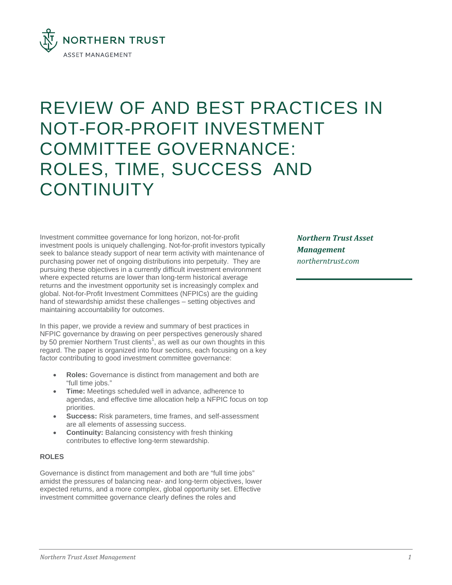

# REVIEW OF AND BEST PRACTICES IN NOT-FOR-PROFIT INVESTMENT COMMITTEE GOVERNANCE: ROLES, TIME, SUCCESS AND **CONTINUITY**

Investment committee governance for long horizon, not-for-profit investment pools is uniquely challenging. Not-for-profit investors typically seek to balance steady support of near term activity with maintenance of purchasing power net of ongoing distributions into perpetuity. They are pursuing these objectives in a currently difficult investment environment where expected returns are lower than long-term historical average returns and the investment opportunity set is increasingly complex and global. Not-for-Profit Investment Committees (NFPICs) are the guiding hand of stewardship amidst these challenges – setting objectives and maintaining accountability for outcomes.

In this paper, we provide a review and summary of best practices in NFPIC governance by drawing on peer perspectives generously shared by 50 premier Northern Trust clients<sup>1</sup>, as well as our own thoughts in this regard. The paper is organized into four sections, each focusing on a key factor contributing to good investment committee governance:

- **Roles:** Governance is distinct from management and both are "full time jobs."
- **Time:** Meetings scheduled well in advance, adherence to agendas, and effective time allocation help a NFPIC focus on top priorities.
- **Success:** Risk parameters, time frames, and self-assessment are all elements of assessing success.
- **Continuity:** Balancing consistency with fresh thinking contributes to effective long-term stewardship.

## **ROLES**

Governance is distinct from management and both are "full time jobs" amidst the pressures of balancing near- and long-term objectives, lower expected returns, and a more complex, global opportunity set. Effective investment committee governance clearly defines the roles and

*Northern Trust Asset Management northerntrust.com*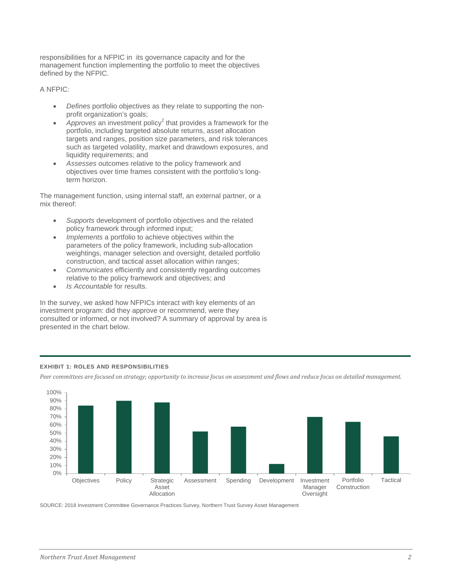responsibilities for a NFPIC in its governance capacity and for the management function implementing the portfolio to meet the objectives defined by the NFPIC.

A NFPIC:

- *Defines* portfolio objectives as they relate to supporting the nonprofit organization's goals;
- Approves an investment policy<sup>2</sup> that provides a framework for the portfolio, including targeted absolute returns, asset allocation targets and ranges, position size parameters, and risk tolerances such as targeted volatility, market and drawdown exposures, and liquidity requirements; and
- *Assesses* outcomes relative to the policy framework and objectives over time frames consistent with the portfolio's longterm horizon.

The management function, using internal staff, an external partner, or a mix thereof:

- *Supports* development of portfolio objectives and the related policy framework through informed input;
- *Implements* a portfolio to achieve objectives within the parameters of the policy framework, including sub-allocation weightings, manager selection and oversight, detailed portfolio construction, and tactical asset allocation within ranges;
- *Communicates* efficiently and consistently regarding outcomes relative to the policy framework and objectives; and
- *Is Accountable* for results.

In the survey, we asked how NFPICs interact with key elements of an investment program: did they approve or recommend, were they consulted or informed, or not involved? A summary of approval by area is presented in the chart below.



## **EXHIBIT 1: ROLES AND RESPONSIBILITIES**

*Peer committees are focused on strategy; opportunity to increase focus on assessment and flows and reduce focus on detailed management.*

SOURCE: 2018 Investment Committee Governance Practices Survey, Northern Trust Survey Asset Management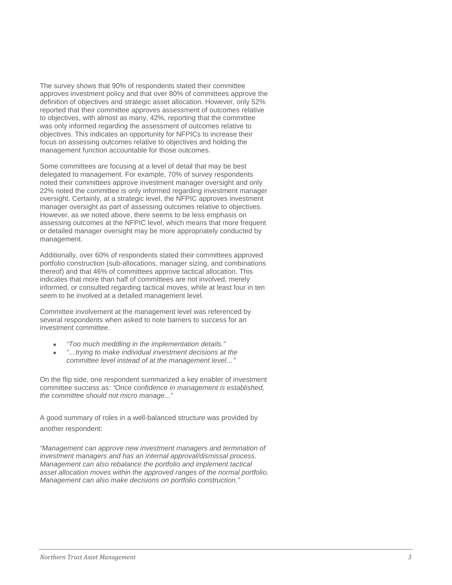The survey shows that 90% of respondents stated their committee approves investment policy and that over 80% of committees approve the definition of objectives and strategic asset allocation. However, only 52% reported that their committee approves assessment of outcomes relative to objectives, with almost as many, 42%, reporting that the committee was only informed regarding the assessment of outcomes relative to objectives. This indicates an opportunity for NFPICs to increase their focus on assessing outcomes relative to objectives and holding the management function accountable for those outcomes.

Some committees are focusing at a level of detail that may be best delegated to management. For example, 70% of survey respondents noted their committees approve investment manager oversight and only 22% noted the committee is only informed regarding investment manager oversight. Certainly, at a strategic level, the NFPIC approves investment manager oversight as part of assessing outcomes relative to objectives. However, as we noted above, there seems to be less emphasis on assessing outcomes at the NFPIC level, which means that more frequent or detailed manager oversight may be more appropriately conducted by management.

Additionally, over 60% of respondents stated their committees approved portfolio construction (sub-allocations, manager sizing, and combinations thereof) and that 46% of committees approve tactical allocation. This indicates that more than half of committees are not involved, merely informed, or consulted regarding tactical moves, while at least four in ten seem to be involved at a detailed management level.

Committee involvement at the management level was referenced by several respondents when asked to note barriers to success for an investment committee.

- *"Too much meddling in the implementation details."*
- *"…trying to make individual investment decisions at the committee level instead of at the management level…"*

On the flip side, one respondent summarized a key enabler of investment committee success as: *"Once confidence in management is established, the committee should not micro manage..."*

A good summary of roles in a well-balanced structure was provided by another respondent:

*"Management can approve new investment managers and termination of investment managers and has an internal approval/dismissal process. Management can also rebalance the portfolio and implement tactical asset allocation moves within the approved ranges of the normal portfolio. Management can also make decisions on portfolio construction."*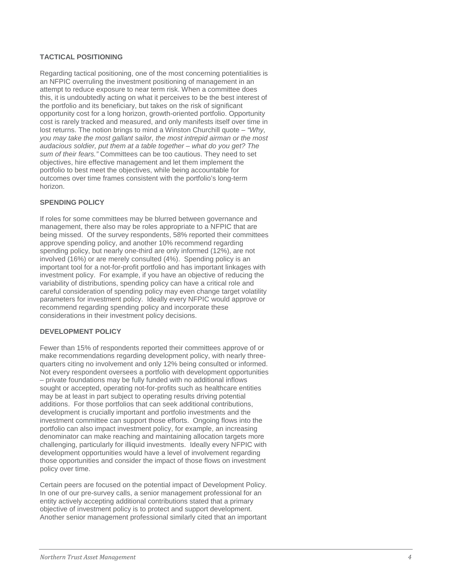## **TACTICAL POSITIONING**

Regarding tactical positioning, one of the most concerning potentialities is an NFPIC overruling the investment positioning of management in an attempt to reduce exposure to near term risk. When a committee does this, it is undoubtedly acting on what it perceives to be the best interest of the portfolio and its beneficiary, but takes on the risk of significant opportunity cost for a long horizon, growth -oriented portfolio. Opportunity cost is rarely tracked and measured, and only manifests itself over time in lost returns. The notion brings to mind a Winston Churchill quote – *"Why, you may take the most gallant sailor, the most intrepid airman or the most audacious soldier, put them at a table together – what do you get? The sum of their fears."* Committees can be too cautious. They need to set objectives, hire effective management and let them implement the portfolio to best meet the objectives, while being accountable for outcomes over time frames consistent with the portfolio's long -term horizon.

## **SPENDING POLICY**

If roles for some committees may be blurred between governance and management, there also may be roles appropriate to a NFPIC that are being missed. Of the survey respondents, 58% reported their committees approve spending policy, and another 1 0% recommend regarding spending policy, but nearly one -third are only informed (1 2%), are not involved (1 6%) or are merely consulted ( 4%). Spending policy is an important tool for a not-for-profit portfolio and has important linkages with investment policy. For example, if you have an objective of reducing the variability of distributions, spending policy can have a critical role and careful consideration of spending policy may even change target volatility parameters for investment policy. Ideally every NFPIC would approve or recommend regarding spending policy and incorporate these considerations in their investment policy decisions.

## **DEVELOPMENT POLICY**

Fewer than 15% of respondents reported their committees approve of or make recommendations regarding development policy, with nearly three quarters citing no involvement and only 12% being consulted or informed. Not every respondent oversees a portfolio with development opportunities – private foundations may be fully funded with no additional inflows sought or accepted, operating not -for -profits such as healthcare entities may be at least in part subject to operating results driving potential additions. For those portfolios that can seek additional contributions, development is crucially important and portfolio investments and the investment committee can support those efforts. Ongoing flows into the portfolio can also impact investment policy, for example, an increasing denominator can make reaching and maintaining allocation targets more challenging, particularly for illiquid investments. Ideally every NFPIC with development opportunities would have a level of involvement regarding those opportunities and consider the impact of those flows on investment policy over time.

Certain peers are focused on the potential impact of Development Policy. In one of our pre -survey calls, a senior management professional for an entity actively accepting additional contributions stated that a primary objective of investment policy is to protect and support development. Another senior management professional similarly cited that an important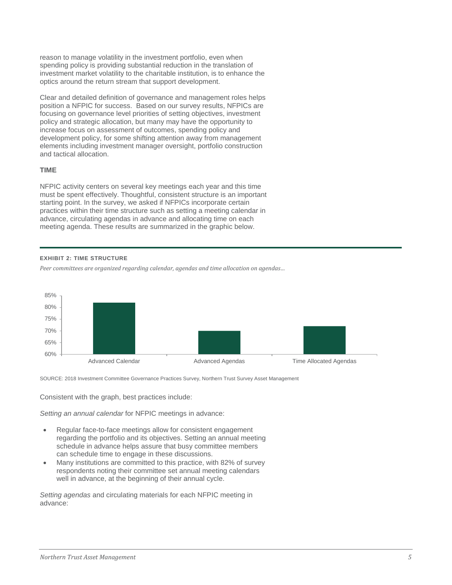reason to manage volatility in the investment portfolio, even when spending policy is providing substantial reduction in the translation of investment market volatility to the charitable institution, is to enhance the optics around the return stream that support development.

Clear and detailed definition of governance and management roles helps position a NFPIC for success. Based on our survey results, NFPICs are focusing on governance level priorities of setting objectives, investment policy and strategic allocation, but many may have the opportunity to increase focus on assessment of outcomes, spending policy and development policy, for some shifting attention away from management elements including investment manager oversight, portfolio construction and tactical allocation.

# **TIME**

NFPIC activity centers on several key meetings each year and this time must be spent effectively. Thoughtful, consistent structure is an important starting point. In the survey, we asked if NFPICs incorporate certain practices within their time structure such as setting a meeting calendar in advance, circulating agendas in advance and allocating time on each meeting agenda. These results are summarized in the graphic below.

#### **EXHIBIT 2: TIME STRUCTURE**

*Peer committees are organized regarding calendar, agendas and time allocation on agendas…*



SOURCE: 2018 Investment Committee Governance Practices Survey, Northern Trust Survey Asset Management

Consistent with the graph, best practices include:

*Setting an annual calendar* for NFPIC meetings in advance:

- Regular face-to-face meetings allow for consistent engagement regarding the portfolio and its objectives. Setting an annual meeting schedule in advance helps assure that busy committee members can schedule time to engage in these discussions.
- Many institutions are committed to this practice, with 82% of survey respondents noting their committee set annual meeting calendars well in advance, at the beginning of their annual cycle.

*Setting agendas* and circulating materials for each NFPIC meeting in advance: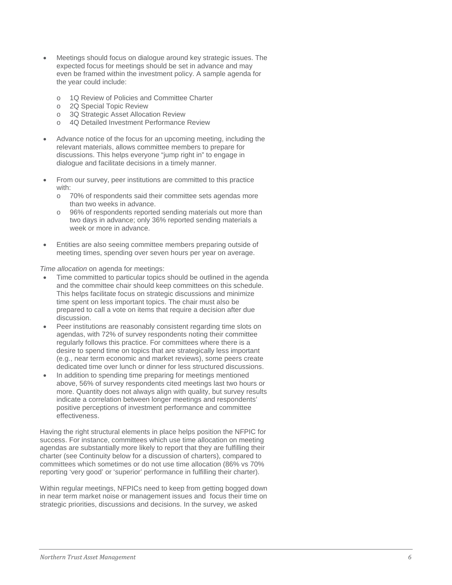- Meetings should focus on dialogue around key strategic issues. The expected focus for meetings should be set in advance and may even be framed within the investment policy. A sample agenda for the year could include:
	- o 1Q Review of Policies and Committee Charter<br>
	o 2Q Special Topic Review
	- 2Q Special Topic Review
	- o 3Q Strategic Asset Allocation Review
	- o 4Q Detailed Investment Performance Review
- Advance notice of the focus for an upcoming meeting, including the relevant materials, allows committee members to prepare for discussions. This helps everyone "jump right in" to engage in dialogue and facilitate decisions in a timely manner.
- From our survey, peer institutions are committed to this practice with:
	- o 70% of respondents said their committee sets agendas more than two weeks in advance.
	- o 96% of respondents reported sending materials out more than two days in advance; only 36% reported sending materials a week or more in advance.
- Entities are also seeing committee members preparing outside of meeting times, spending over seven hours per year on average.

*Time allocation* on agenda for meetings:

- Time committed to particular topics should be outlined in the agenda and the committee chair should keep committees on this schedule. This helps facilitate focus on strategic discussions and minimize time spent on less important topics. The chair must also be prepared to call a vote on items that require a decision after due discussion.
- Peer institutions are reasonably consistent regarding time slots on agendas, with 72% of survey respondents noting their committee regularly follows this practice. For committees where there is a desire to spend time on topics that are strategically less important (e.g., near term economic and market reviews), some peers create dedicated time over lunch or dinner for less structured discussions.
- In addition to spending time preparing for meetings mentioned above, 56% of survey respondents cited meetings last two hours or more. Quantity does not always align with quality, but survey results indicate a correlation between longer meetings and respondents' positive perceptions of investment performance and committee effectiveness.

Having the right structural elements in place helps position the NFPIC for success. For instance, committees which use time allocation on meeting agendas are substantially more likely to report that they are fulfilling their charter (see Continuity below for a discussion of charters), compared to committees which sometimes or do not use time allocation (86% vs 70% reporting 'very good' or 'superior' performance in fulfilling their charter).

Within regular meetings, NFPICs need to keep from getting bogged down in near term market noise or management issues and focus their time on strategic priorities, discussions and decisions. In the survey, we asked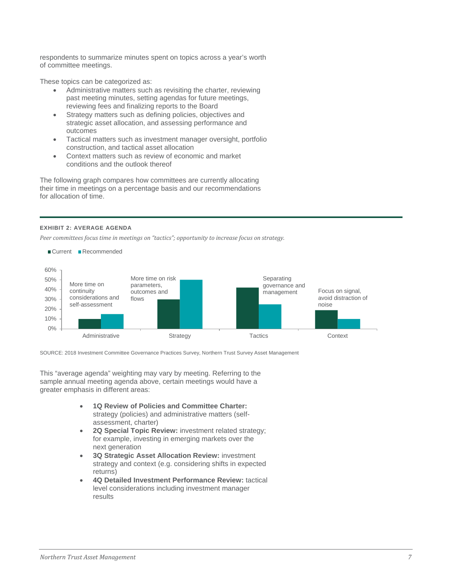respondents to summarize minutes spent on topics across a year's worth of committee meetings.

These topics can be categorized as:

- Administrative matters such as revisiting the charter, reviewing past meeting minutes, setting agendas for future meetings, reviewing fees and finalizing reports to the Board
- Strategy matters such as defining policies, objectives and strategic asset allocation, and assessing performance and outcomes
- Tactical matters such as investment manager oversight, portfolio construction, and tactical asset allocation
- Context matters such as review of economic and market conditions and the outlook thereof

The following graph compares how committees are currently allocating their time in meetings on a percentage basis and our recommendations for allocation of time.

#### **EXHIBIT 2: AVERAGE AGENDA**

*Peer committees focus time in meetings on "tactics"; opportunity to increase focus on strategy.*



SOURCE: 2018 Investment Committee Governance Practices Survey, Northern Trust Survey Asset Management

This "average agenda" weighting may vary by meeting. Referring to the sample annual meeting agenda above, certain meetings would have a greater emphasis in different areas:

- **1Q Review of Policies and Committee Charter:** strategy (policies) and administrative matters (selfassessment, charter)
- **2Q Special Topic Review:** investment related strategy; for example, investing in emerging markets over the next generation
- **3Q Strategic Asset Allocation Review:** investment strategy and context (e.g. considering shifts in expected returns)
- **4Q Detailed Investment Performance Review:** tactical level considerations including investment manager results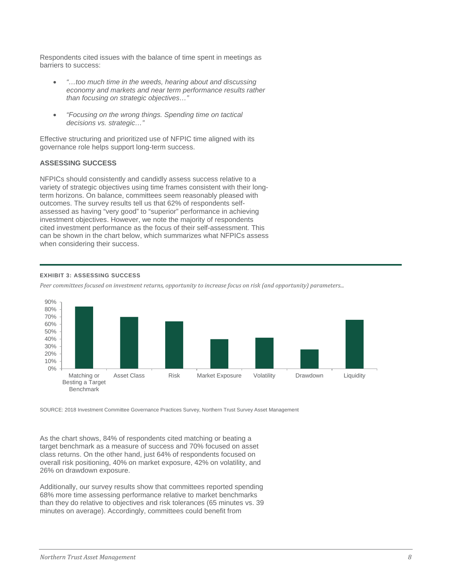Respondents cited issues with the balance of time spent in meetings as barriers to success:

- *"…too much time in the weeds, hearing about and discussing economy and markets and near term performance results rather than focusing on strategic objectives…"*
- *"Focusing on the wrong things. Spending time on tactical decisions vs. strategic…"*

Effective structuring and prioritized use of NFPIC time aligned with its governance role helps support long-term success.

# **ASSESSING SUCCESS**

NFPICs should consistently and candidly assess success relative to a variety of strategic objectives using time frames consistent with their longterm horizons. On balance, committees seem reasonably pleased with outcomes. The survey results tell us that 62% of respondents selfassessed as having "very good" to "superior" performance in achieving investment objectives. However, we note the majority of respondents cited investment performance as the focus of their self-assessment. This can be shown in the chart below, which summarizes what NFPICs assess when considering their success.

## **EXHIBIT 3: ASSESSING SUCCESS**

*Peer committees focused on investment returns, opportunity to increase focus on risk (and opportunity) parameters...*



SOURCE: 2018 Investment Committee Governance Practices Survey, Northern Trust Survey Asset Management

As the chart shows, 84% of respondents cited matching or beating a target benchmark as a measure of success and 70% focused on asset class returns. On the other hand, just 64% of respondents focused on overall risk positioning, 40% on market exposure, 42% on volatility, and 26% on drawdown exposure.

Additionally, our survey results show that committees reported spending 68% more time assessing performance relative to market benchmarks than they do relative to objectives and risk tolerances (65 minutes vs. 39 minutes on average). Accordingly, committees could benefit from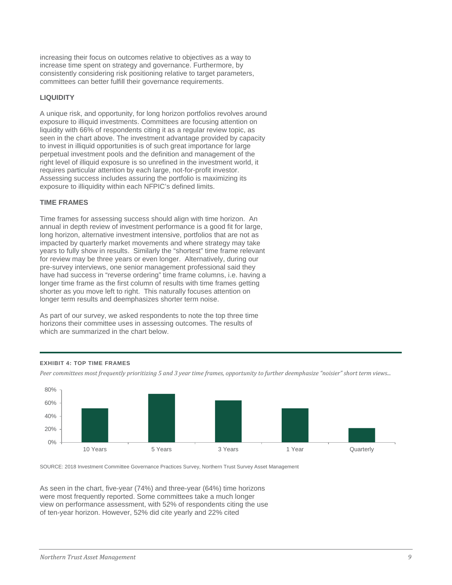increasing their focus on outcomes relative to objectives as a way to increase time spent on strategy and governance. Furthermore, by consistently considering risk positioning relative to target parameters, committees can better fulfill their governance requirements.

#### **LIQUIDITY**

A unique risk, and opportunity, for long horizon portfolios revolves around exposure to illiquid investments. Committees are focusing attention on liquidity with 66% of respondents citing it as a regular review topic, as seen in the chart above. The investment advantage provided by capacity to invest in illiquid opportunities is of such great importance for large perpetual investment pools and the definition and management of the right level of illiquid exposure is so unrefined in the investment world, it requires particular attention by each large, not-for-profit investor. Assessing success includes assuring the portfolio is maximizing its exposure to illiquidity within each NFPIC's defined limits.

#### **TIME FRAMES**

Time frames for assessing success should align with time horizon. An annual in depth review of investment performance is a good fit for large, long horizon, alternative investment intensive, portfolios that are not as impacted by quarterly market movements and where strategy may take years to fully show in results. Similarly the "shortest" time frame relevant for review may be three years or even longer. Alternatively, during our pre-survey interviews, one senior management professional said they have had success in "reverse ordering" time frame columns, i.e. having a longer time frame as the first column of results with time frames getting shorter as you move left to right. This naturally focuses attention on longer term results and deemphasizes shorter term noise.

As part of our survey, we asked respondents to note the top three time horizons their committee uses in assessing outcomes. The results of which are summarized in the chart below.

#### **EXHIBIT 4: TOP TIME FRAMES**

*Peer committees most frequently prioritizing 5 and 3 year time frames, opportunity to further deemphasize "noisier" short term views...*



SOURCE: 2018 Investment Committee Governance Practices Survey, Northern Trust Survey Asset Management

As seen in the chart, five-year (74%) and three-year (64%) time horizons were most frequently reported. Some committees take a much longer view on performance assessment, with 52% of respondents citing the use of ten-year horizon. However, 52% did cite yearly and 22% cited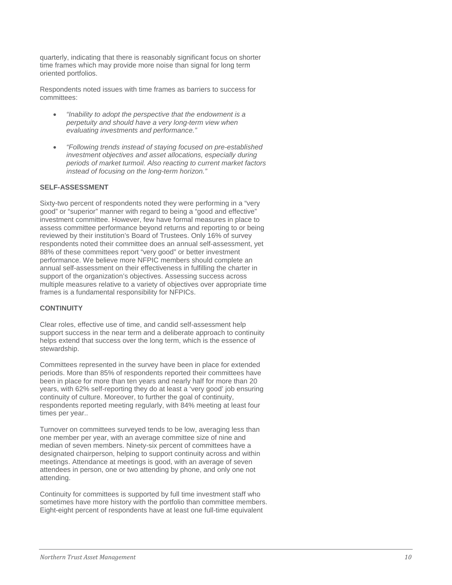quarterly, indicating that there is reasonably significant focus on shorter time frames which may provide more noise than signal for long term oriented portfolios.

Respondents noted issues with time frames as barriers to success for committees:

- *"Inability to adopt the perspective that the endowment is a perpetuity and should have a very long-term view when evaluating investments and performance."*
- *"Following trends instead of staying focused on pre-established investment objectives and asset allocations, especially during periods of market turmoil. Also reacting to current market factors instead of focusing on the long-term horizon."*

## **SELF-ASSESSMENT**

Sixty-two percent of respondents noted they were performing in a "very good" or "superior" manner with regard to being a "good and effective" investment committee. However, few have formal measures in place to assess committee performance beyond returns and reporting to or being reviewed by their institution's Board of Trustees. Only 16% of survey respondents noted their committee does an annual self-assessment, yet 88% of these committees report "very good" or better investment performance. We believe more NFPIC members should complete an annual self-assessment on their effectiveness in fulfilling the charter in support of the organization's objectives. Assessing success across multiple measures relative to a variety of objectives over appropriate time frames is a fundamental responsibility for NFPICs.

## **CONTINUITY**

Clear roles, effective use of time, and candid self-assessment help support success in the near term and a deliberate approach to continuity helps extend that success over the long term, which is the essence of stewardship.

Committees represented in the survey have been in place for extended periods. More than 85% of respondents reported their committees have been in place for more than ten years and nearly half for more than 20 years, with 62% self-reporting they do at least a 'very good' job ensuring continuity of culture. Moreover, to further the goal of continuity, respondents reported meeting regularly, with 84% meeting at least four times per year..

Turnover on committees surveyed tends to be low, averaging less than one member per year, with an average committee size of nine and median of seven members. Ninety-six percent of committees have a designated chairperson, helping to support continuity across and within meetings. Attendance at meetings is good, with an average of seven attendees in person, one or two attending by phone, and only one not attending.

Continuity for committees is supported by full time investment staff who sometimes have more history with the portfolio than committee members. Eight-eight percent of respondents have at least one full-time equivalent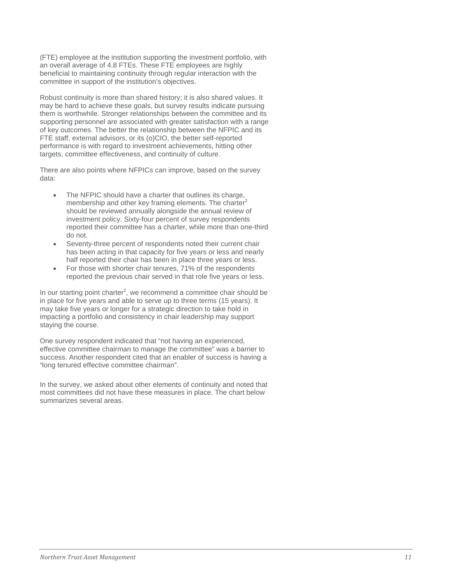(FTE) employee at the institution supporting the investment portfolio, with an overall average of 4.8 FTEs. These FTE employees are highly beneficial to maintaining continuity through regular interaction with the committee in support of the institution's objectives.

Robust continuity is more than shared history; it is also shared values. It may be hard to achieve these goals, but survey results indicate pursuing them is worthwhile. Stronger relationships between the committee and its supporting personnel are associated with greater satisfaction with a range of key outcomes. The better the relationship between the NFPIC and its FTE staff, external advisors, or its (o)CIO, the better self-reported performance is with regard to investment achievements, hitting other targets, committee effectiveness, and continuity of culture.

There are also points where NFPICs can improve, based on the survey data:

- The NFPIC should have a charter that outlines its charge, membership and other key framing elements. The charter<sup>2</sup> should be reviewed annually alongside the annual review of investment policy. Sixty-four percent of survey respondents reported their committee has a charter, while more than one-third do not.
- Seventy-three percent of respondents noted their current chair has been acting in that capacity for five years or less and nearly half reported their chair has been in place three years or less.
- For those with shorter chair tenures, 71% of the respondents reported the previous chair served in that role five years or less.

In our starting point charter<sup>2</sup>, we recommend a committee chair should be in place for five years and able to serve up to three terms (15 years). It may take five years or longer for a strategic direction to take hold in impacting a portfolio and consistency in chair leadership may support staying the course.

One survey respondent indicated that "not having an experienced, effective committee chairman to manage the committee" was a barrier to success. Another respondent cited that an enabler of success is having a "long tenured effective committee chairman".

In the survey, we asked about other elements of continuity and noted that most committees did not have these measures in place. The chart below summarizes several areas.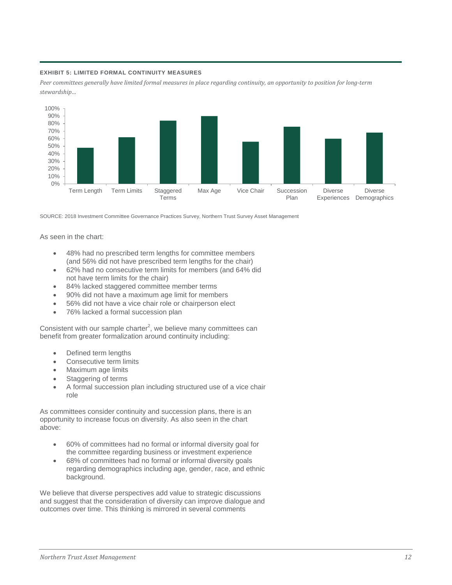#### **EXHIBIT 5: LIMITED FORMAL CONTINUITY MEASURES**

*Peer committees generally have limited formal measures in place regarding continuity, an opportunity to position for long-term stewardship…*



SOURCE: 2018 Investment Committee Governance Practices Survey, Northern Trust Survey Asset Management

As seen in the chart:

- 48% had no prescribed term lengths for committee members (and 56% did not have prescribed term lengths for the chair)
- 62% had no consecutive term limits for members (and 64% did not have term limits for the chair)
- 84% lacked staggered committee member terms
- 90% did not have a maximum age limit for members
- 56% did not have a vice chair role or chairperson elect
- 76% lacked a formal succession plan

Consistent with our sample charter<sup>2</sup>, we believe many committees can benefit from greater formalization around continuity including:

- Defined term lengths
- Consecutive term limits
- Maximum age limits
- Staggering of terms
- A formal succession plan including structured use of a vice chair role

As committees consider continuity and succession plans, there is an opportunity to increase focus on diversity. As also seen in the chart above:

- 60% of committees had no formal or informal diversity goal for the committee regarding business or investment experience
- 68% of committees had no formal or informal diversity goals regarding demographics including age, gender, race, and ethnic background.

We believe that diverse perspectives add value to strategic discussions and suggest that the consideration of diversity can improve dialogue and outcomes over time. This thinking is mirrored in several comments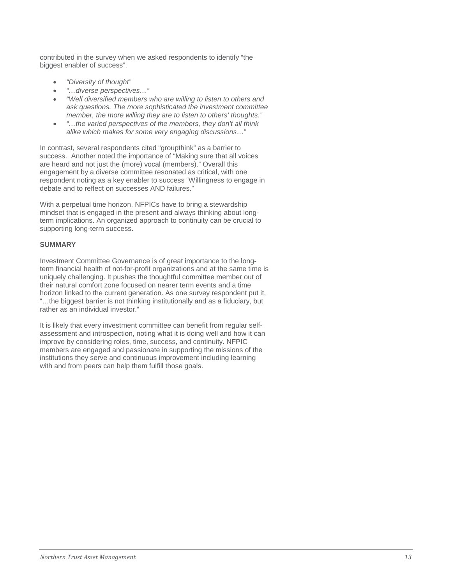contributed in the survey when we asked respondents to identify "the biggest enabler of success".

- *"Diversity of thought"*
- *"…diverse perspectives…"*
- *"Well diversified members who are willing to listen to others and ask questions. The more sophisticated the investment committee member, the more willing they are to listen to others' thoughts."*
- *"…the varied perspectives of the members, they don't all think alike which makes for some very engaging discussions…"*

In contrast, several respondents cited "groupthink" as a barrier to success. Another noted the importance of "Making sure that all voices are heard and not just the (more) vocal (members)." Overall this engagement by a diverse committee resonated as critical, with one respondent noting as a key enabler to success "Willingness to engage in debate and to reflect on successes AND failures."

With a perpetual time horizon, NFPICs have to bring a stewardship mindset that is engaged in the present and always thinking about longterm implications. An organized approach to continuity can be crucial to supporting long-term success.

# **SUMMARY**

Investment Committee Governance is of great importance to the longterm financial health of not-for-profit organizations and at the same time is uniquely challenging. It pushes the thoughtful committee member out of their natural comfort zone focused on nearer term events and a time horizon linked to the current generation. As one survey respondent put it, "…the biggest barrier is not thinking institutionally and as a fiduciary, but rather as an individual investor."

It is likely that every investment committee can benefit from regular selfassessment and introspection, noting what it is doing well and how it can improve by considering roles, time, success, and continuity. NFPIC members are engaged and passionate in supporting the missions of the institutions they serve and continuous improvement including learning with and from peers can help them fulfill those goals.